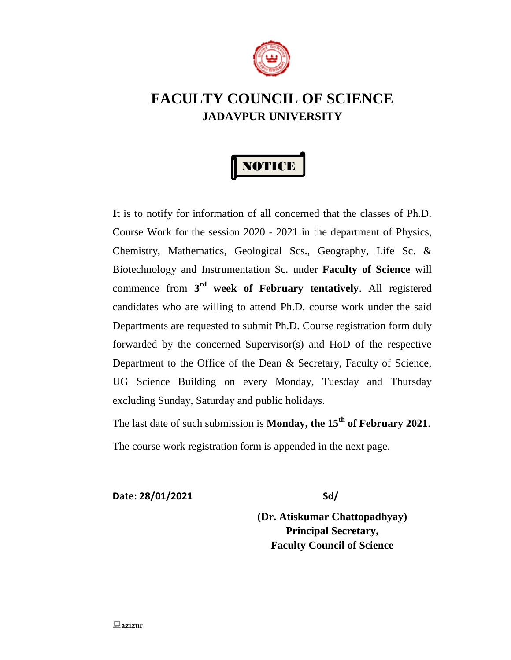

## **FACULTY COUNCIL OF SCIENCE JADAVPUR UNIVERSITY**



**I**t is to notify for information of all concerned that the classes of Ph.D. Course Work for the session 2020 - 2021 in the department of Physics, Chemistry, Mathematics, Geological Scs., Geography, Life Sc. & Biotechnology and Instrumentation Sc. under **Faculty of Science** will commence from **3 rd week of February tentatively**. All registered candidates who are willing to attend Ph.D. course work under the said Departments are requested to submit Ph.D. Course registration form duly forwarded by the concerned Supervisor(s) and HoD of the respective Department to the Office of the Dean & Secretary, Faculty of Science, UG Science Building on every Monday, Tuesday and Thursday excluding Sunday, Saturday and public holidays.

The last date of such submission is **Monday, the 15th of February 2021**.

The course work registration form is appended in the next page.

**Date: 28/01/2021 Sd/**

**(Dr. Atiskumar Chattopadhyay) Principal Secretary, Faculty Council of Science**